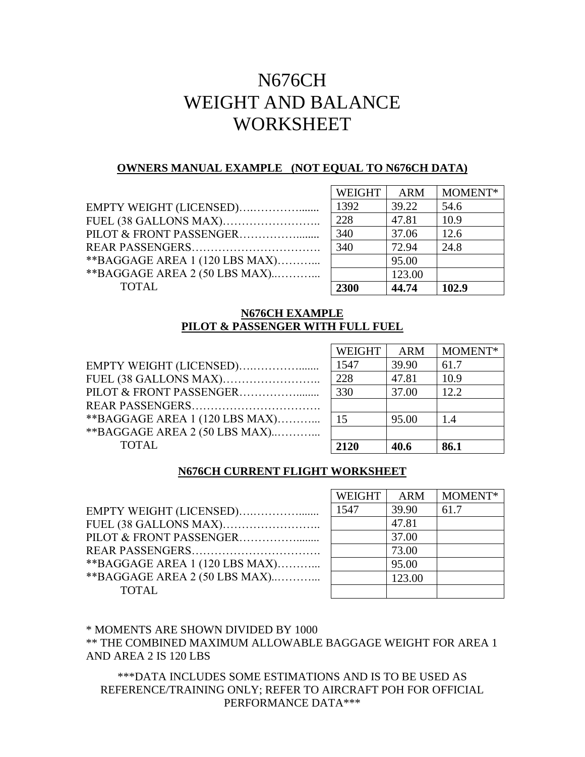# N676CH WEIGHT AND BALANCE WORKSHEET

## **OWNERS MANUAL EXAMPLE (NOT EQUAL TO N676CH DATA)**

| EMPTY WEIGHT (LICENSED)         |                |
|---------------------------------|----------------|
|                                 | $\overline{z}$ |
|                                 | <b>下</b>       |
|                                 | $\mathbf{r}$   |
| ** BAGGAGE AREA 1 (120 LBS MAX) |                |
| ** BAGGAGE AREA 2 (50 LBS MAX)  |                |
| <b>TOTAL</b>                    |                |
|                                 |                |

| <b>WEIGHT</b> | <b>ARM</b> | MOMENT* |
|---------------|------------|---------|
| 1392          | 39.22      | 54.6    |
| 228           | 47.81      | 10.9    |
| 340           | 37.06      | 12.6    |
| 340           | 72.94      | 24.8    |
|               | 95.00      |         |
|               | 123.00     |         |
| 2300          | 44.74      | 102.9   |

# **N676CH EXAMPLE PILOT & PASSENGER WITH FULL FUEL**

|                                 | <b>WEIGHT</b> | <b>ARM</b> | MOMENT* |
|---------------------------------|---------------|------------|---------|
| EMPTY WEIGHT (LICENSED)         | 1547          | 39.90      | 61.7    |
|                                 | 228           | 47.81      | 10.9    |
|                                 | 330           | 37.00      | 12.2    |
|                                 |               |            |         |
| ** BAGGAGE AREA 1 (120 LBS MAX) | 15            | 95.00      | 1.4     |
| ** BAGGAGE AREA 2 (50 LBS MAX)  |               |            |         |
| <b>TOTAL</b>                    | 2120          | 40.6       | 86.1    |
|                                 |               |            |         |

## **N676CH CURRENT FLIGHT WORKSHEET**

| EMPTY WEIGHT (LICENSED)         |
|---------------------------------|
| FUEL (38 GALLONS MAX)           |
|                                 |
|                                 |
| ** BAGGAGE AREA 1 (120 LBS MAX) |
| ** BAGGAGE AREA 2 (50 LBS MAX)  |
| <b>TOTAL</b>                    |

| <b>WEIGHT</b> | <b>ARM</b> | MOMENT* |
|---------------|------------|---------|
| 1547          | 39.90      | 61.7    |
|               | 47.81      |         |
|               | 37.00      |         |
|               | 73.00      |         |
|               | 95.00      |         |
|               | 123.00     |         |
|               |            |         |

# \* MOMENTS ARE SHOWN DIVIDED BY 1000

\*\* THE COMBINED MAXIMUM ALLOWABLE BAGGAGE WEIGHT FOR AREA 1 AND AREA 2 IS 120 LBS

\*\*\*DATA INCLUDES SOME ESTIMATIONS AND IS TO BE USED AS REFERENCE/TRAINING ONLY; REFER TO AIRCRAFT POH FOR OFFICIAL PERFORMANCE DATA\*\*\*